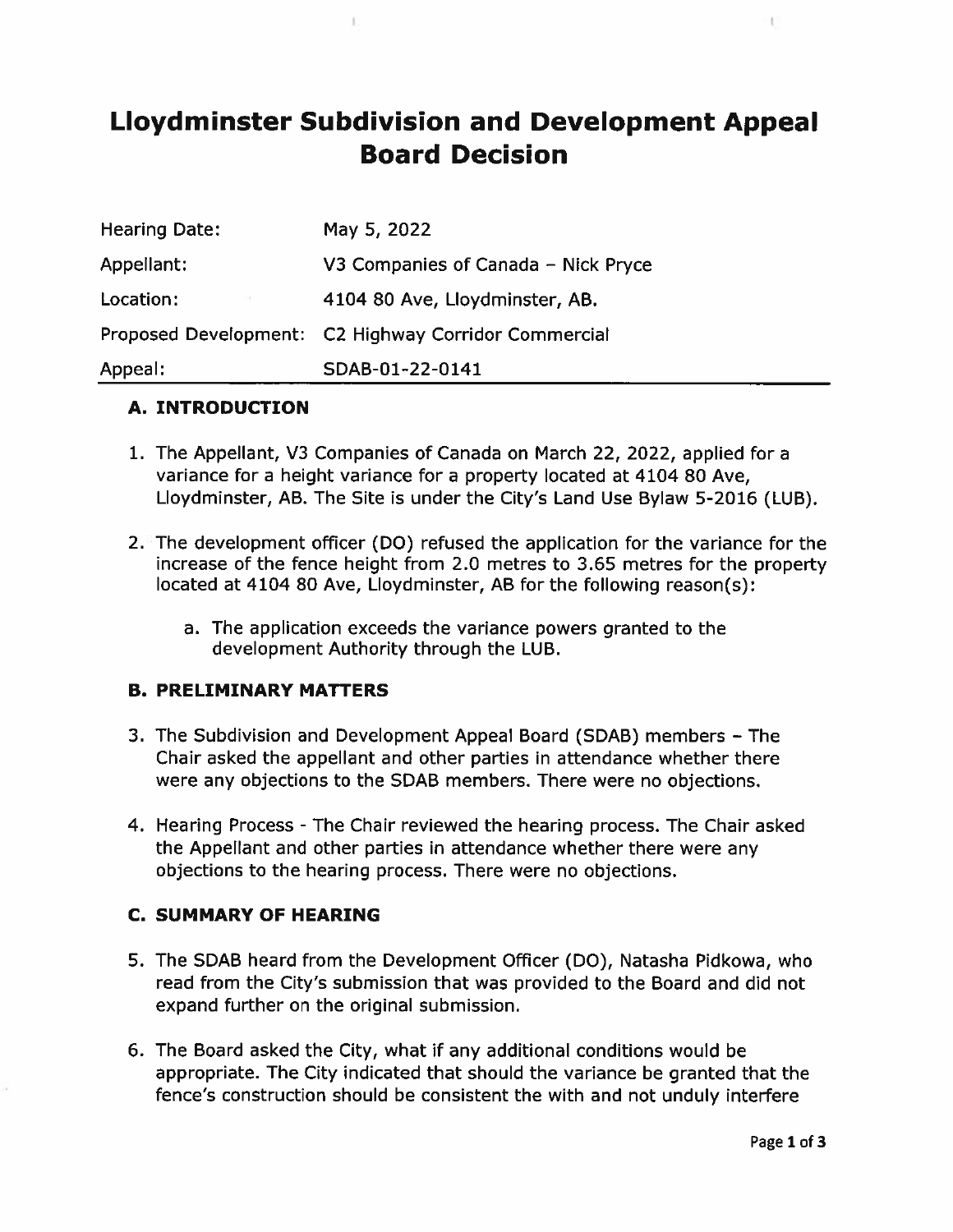# Lloydminster Subdivision and Development Appeal Board Decision

| <b>Hearing Date:</b> | May 5, 2022                                          |
|----------------------|------------------------------------------------------|
| Appellant:           | V3 Companies of Canada - Nick Pryce                  |
| Location:            | 4104 80 Ave, Lloydminster, AB.                       |
|                      | Proposed Development: C2 Highway Corridor Commercial |
| Appeal:              | SDAB-01-22-0141                                      |

#### A. INTRODUCTION

- 1. The Appellant, V3 Companies of Canada on March 22, 2022, applied for <sup>a</sup> variance for <sup>a</sup> height variance for <sup>a</sup> property located at 4104 80 Aye, Lloydminster, AB. The Site is under the City's Land Use Bylaw 5-2016 (LUB).
- 2. The development officer (DO) refused the application for the variance for the increase of the fence height from 2.0 metres to 3.65 metres for the property located at 4104 80 Ave, Lloydminster, AB for the following reason(s):
	- a. The application exceeds the variance powers granted to the development Authority through the LUB.

#### B. PRELIMINARY MATTERS

- 3. The Subdivision and Development Appeal Board (SDAB) members The Chair asked the appellant and other parties in attendance whether there were any objections to the SDAB members. There were no objections.
- 4. Hearing Process -The Chair reviewed the hearing process. The Chair asked the Appellant and other parties in attendance whether there were any objections to the hearing process. There were no objections.

#### C. SUMMARY OF HEARING

- 5. The SDAB heard from the Development Officer (DO), Natasha Pidkowa, who read from the City's submission that was provided to the Board and did not expand further on the original submission.
- 6. The Board asked the City, what if any additional conditions would be appropriate. The City indicated that should the variance be granted that the fence's construction should be consistent the with and not unduly interfere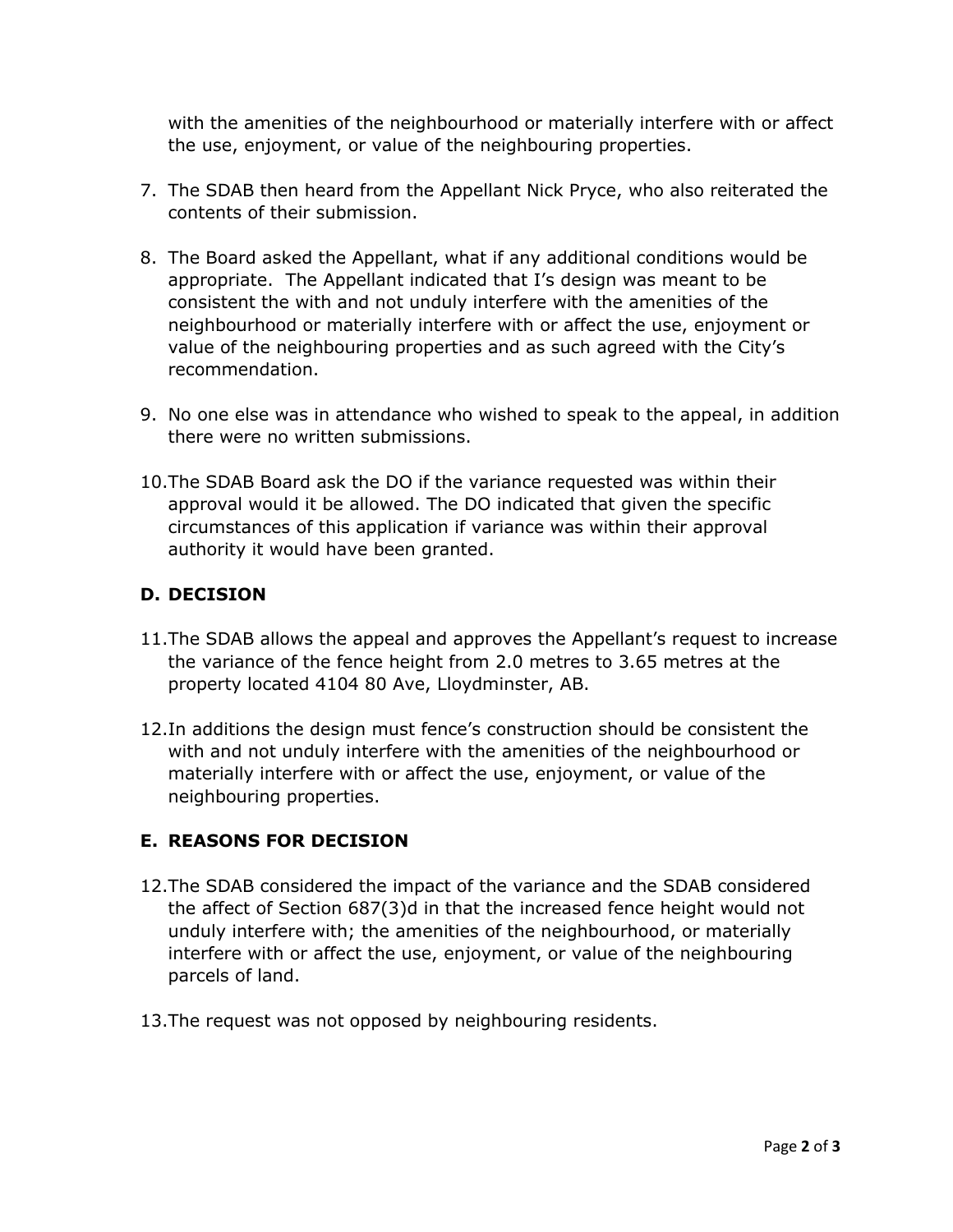with the amenities of the neighbourhood or materially interfere with or affect the use, enjoyment, or value of the neighbouring properties.

- 7. The SDAB then heard from the Appellant Nick Pryce, who also reiterated the contents of their submission.
- 8. The Board asked the Appellant, what if any additional conditions would be appropriate. The Appellant indicated that I's design was meant to be consistent the with and not unduly interfere with the amenities of the neighbourhood or materially interfere with or affect the use, enjoyment or value of the neighbouring properties and as such agreed with the City's recommendation.
- 9. No one else was in attendance who wished to speak to the appeal, in addition there were no written submissions.
- 10.The SDAB Board ask the DO if the variance requested was within their approval would it be allowed. The DO indicated that given the specific circumstances of this application if variance was within their approval authority it would have been granted.

## **D. DECISION**

- 11.The SDAB allows the appeal and approves the Appellant's request to increase the variance of the fence height from 2.0 metres to 3.65 metres at the property located 4104 80 Ave, Lloydminster, AB.
- 12.In additions the design must fence's construction should be consistent the with and not unduly interfere with the amenities of the neighbourhood or materially interfere with or affect the use, enjoyment, or value of the neighbouring properties.

### **E. REASONS FOR DECISION**

- 12.The SDAB considered the impact of the variance and the SDAB considered the affect of Section 687(3)d in that the increased fence height would not unduly interfere with; the amenities of the neighbourhood, or materially interfere with or affect the use, enjoyment, or value of the neighbouring parcels of land.
- 13.The request was not opposed by neighbouring residents.